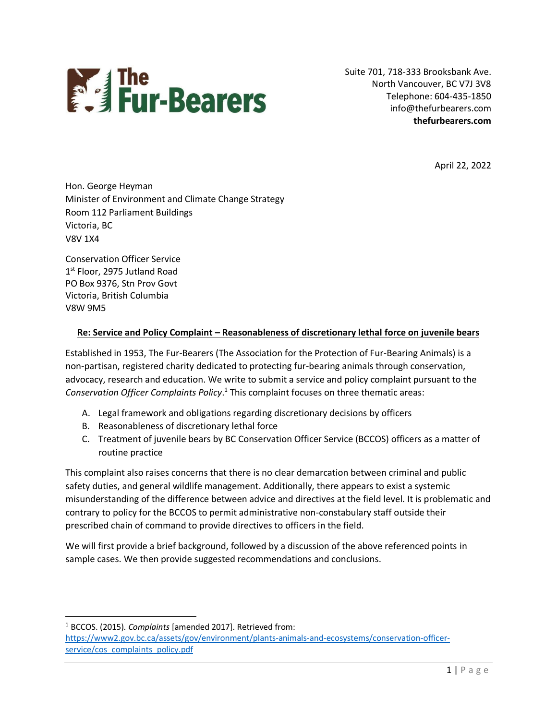

Suite 701, 718-333 Brooksbank Ave. North Vancouver, BC V7J 3V8 Telephone: 604-435-1850 info@thefurbearers.com **thefurbearers.com**

April 22, 2022

Hon. George Heyman Minister of Environment and Climate Change Strategy Room 112 Parliament Buildings Victoria, BC V8V 1X4

Conservation Officer Service 1st Floor, 2975 Jutland Road PO Box 9376, Stn Prov Govt Victoria, British Columbia V8W 9M5

# **Re: Service and Policy Complaint – Reasonableness of discretionary lethal force on juvenile bears**

Established in 1953, The Fur-Bearers (The Association for the Protection of Fur-Bearing Animals) is a non-partisan, registered charity dedicated to protecting fur-bearing animals through conservation, advocacy, research and education. We write to submit a service and policy complaint pursuant to the *Conservation Officer Complaints Policy*. 1 This complaint focuses on three thematic areas:

- A. Legal framework and obligations regarding discretionary decisions by officers
- B. Reasonableness of discretionary lethal force
- C. Treatment of juvenile bears by BC Conservation Officer Service (BCCOS) officers as a matter of routine practice

This complaint also raises concerns that there is no clear demarcation between criminal and public safety duties, and general wildlife management. Additionally, there appears to exist a systemic misunderstanding of the difference between advice and directives at the field level. It is problematic and contrary to policy for the BCCOS to permit administrative non-constabulary staff outside their prescribed chain of command to provide directives to officers in the field.

We will first provide a brief background, followed by a discussion of the above referenced points in sample cases. We then provide suggested recommendations and conclusions.

<sup>1</sup> BCCOS. (2015). *Complaints* [amended 2017]. Retrieved from: [https://www2.gov.bc.ca/assets/gov/environment/plants-animals-and-ecosystems/conservation-officer](https://www2.gov.bc.ca/assets/gov/environment/plants-animals-and-ecosystems/conservation-officer-service/cos_complaints_policy.pdf)[service/cos\\_complaints\\_policy.pdf](https://www2.gov.bc.ca/assets/gov/environment/plants-animals-and-ecosystems/conservation-officer-service/cos_complaints_policy.pdf)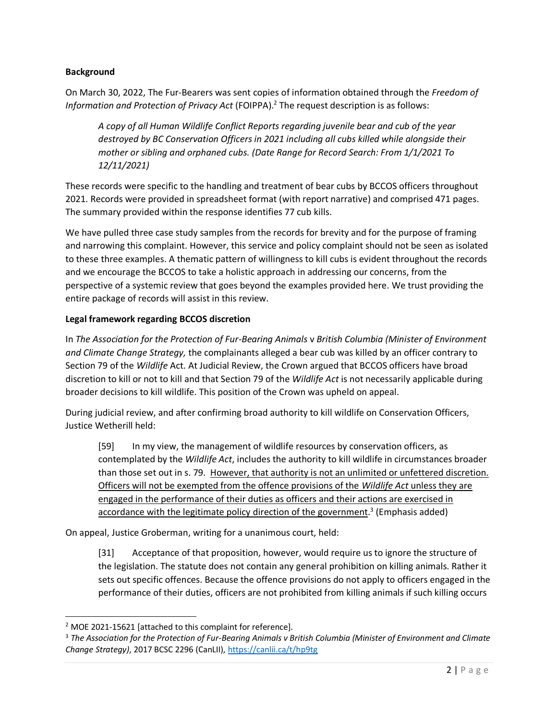### **Background**

On March 30, 2022, The Fur-Bearers was sent copies of information obtained through the *Freedom of*  Information and Protection of Privacy Act (FOIPPA).<sup>2</sup> The request description is as follows:

*A copy of all Human Wildlife Conflict Reports regarding juvenile bear and cub of the year destroyed by BC Conservation Officers in 2021 including all cubs killed while alongside their mother or sibling and orphaned cubs. (Date Range for Record Search: From 1/1/2021 To 12/11/2021)*

These records were specific to the handling and treatment of bear cubs by BCCOS officers throughout 2021. Records were provided in spreadsheet format (with report narrative) and comprised 471 pages. The summary provided within the response identifies 77 cub kills.

We have pulled three case study samples from the records for brevity and for the purpose of framing and narrowing this complaint. However, this service and policy complaint should not be seen as isolated to these three examples. A thematic pattern of willingness to kill cubs is evident throughout the records and we encourage the BCCOS to take a holistic approach in addressing our concerns, from the perspective of a systemic review that goes beyond the examples provided here. We trust providing the entire package of records will assist in this review.

#### **Legal framework regarding BCCOS discretion**

In *The Association for the Protection of Fur-Bearing Animals* v *British Columbia (Minister of Environment and Climate Change Strategy,* the complainants alleged a bear cub was killed by an officer contrary to Section 79 of the *Wildlife* Act. At Judicial Review, the Crown argued that BCCOS officers have broad discretion to kill or not to kill and that Section 79 of the *Wildlife Act* is not necessarily applicable during broader decisions to kill wildlife. This position of the Crown was upheld on appeal.

During judicial review, and after confirming broad authority to kill wildlife on Conservation Officers, Justice Wetherill held:

[59] In my view, the management of wildlife resources by conservation officers, as contemplated by the *Wildlife Act*, includes the authority to kill wildlife in circumstances broader than those set out in s. 79. However, that authority is not an unlimited or unfettered discretion. Officers will not be exempted from the offence provisions of the *Wildlife Act* unless they are engaged in the performance of their duties as officers and their actions are exercised in accordance with the legitimate policy direction of the government.<sup>3</sup> (Emphasis added)

On appeal, Justice Groberman, writing for a unanimous court, held:

[31] Acceptance of that proposition, however, would require us to ignore the structure of the legislation. The statute does not contain any general prohibition on killing animals. Rather it sets out specific offences. Because the offence provisions do not apply to officers engaged in the performance of their duties, officers are not prohibited from killing animals if such killing occurs

<sup>2</sup> MOE 2021-15621 [attached to this complaint for reference].

<sup>3</sup> *The Association for the Protection of Fur-Bearing Animals v British Columbia (Minister of Environment and Climate Change Strategy)*, 2017 BCSC 2296 (CanLII)[, https://canlii.ca/t/hp9tg](https://canlii.ca/t/hp9tg)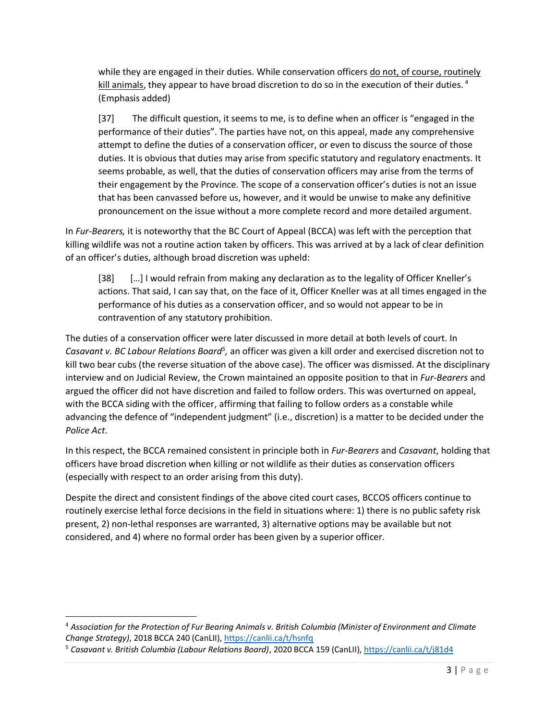while they are engaged in their duties. While conservation officers do not, of course, routinely kill animals, they appear to have broad discretion to do so in the execution of their duties.  $4$ (Emphasis added)

[37] The difficult question, it seems to me, is to define when an officer is "engaged in the performance of their duties". The parties have not, on this appeal, made any comprehensive attempt to define the duties of a conservation officer, or even to discuss the source of those duties. It is obvious that duties may arise from specific statutory and regulatory enactments. It seems probable, as well, that the duties of conservation officers may arise from the terms of their engagement by the Province. The scope of a conservation officer's duties is not an issue that has been canvassed before us, however, and it would be unwise to make any definitive pronouncement on the issue without a more complete record and more detailed argument.

In *Fur-Bearers,* it is noteworthy that the BC Court of Appeal (BCCA) was left with the perception that killing wildlife was not a routine action taken by officers. This was arrived at by a lack of clear definition of an officer's duties, although broad discretion was upheld:

[38] […] I would refrain from making any declaration as to the legality of Officer Kneller's actions. That said, I can say that, on the face of it, Officer Kneller was at all times engaged in the performance of his duties as a conservation officer, and so would not appear to be in contravention of any statutory prohibition.

The duties of a conservation officer were later discussed in more detail at both levels of court. In Casavant v. BC Labour Relations Board<sup>5</sup>, an officer was given a kill order and exercised discretion not to kill two bear cubs (the reverse situation of the above case). The officer was dismissed. At the disciplinary interview and on Judicial Review, the Crown maintained an opposite position to that in *Fur-Bearers* and argued the officer did not have discretion and failed to follow orders. This was overturned on appeal, with the BCCA siding with the officer, affirming that failing to follow orders as a constable while advancing the defence of "independent judgment" (i.e., discretion) is a matter to be decided under the *Police Act*.

In this respect, the BCCA remained consistent in principle both in *Fur-Bearers* and *Casavant*, holding that officers have broad discretion when killing or not wildlife as their duties as conservation officers (especially with respect to an order arising from this duty).

Despite the direct and consistent findings of the above cited court cases, BCCOS officers continue to routinely exercise lethal force decisions in the field in situations where: 1) there is no public safety risk present, 2) non-lethal responses are warranted, 3) alternative options may be available but not considered, and 4) where no formal order has been given by a superior officer.

<sup>4</sup> *Association for the Protection of Fur Bearing Animals v. British Columbia (Minister of Environment and Climate Change Strategy)*, 2018 BCCA 240 (CanLII)[, https://canlii.ca/t/hsnfq](https://canlii.ca/t/hsnfq)

<sup>5</sup> *Casavant v. British Columbia (Labour Relations Board)*, 2020 BCCA 159 (CanLII),<https://canlii.ca/t/j81d4>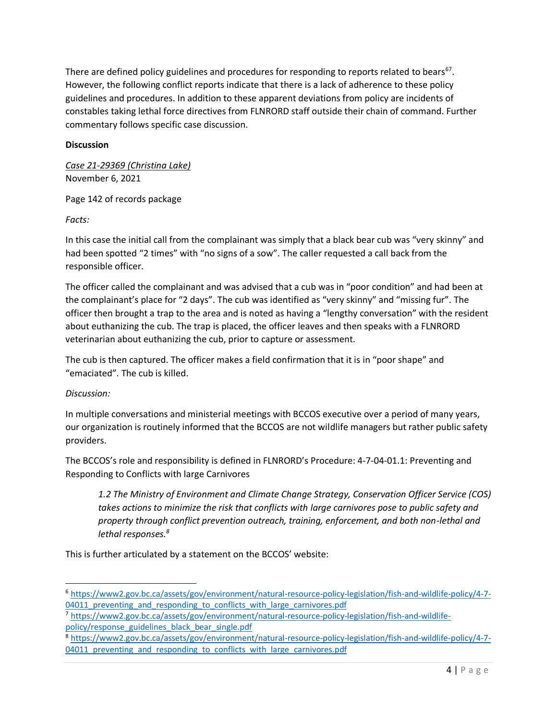There are defined policy guidelines and procedures for responding to reports related to bears<sup>67</sup>. However, the following conflict reports indicate that there is a lack of adherence to these policy guidelines and procedures. In addition to these apparent deviations from policy are incidents of constables taking lethal force directives from FLNRORD staff outside their chain of command. Further commentary follows specific case discussion.

# **Discussion**

*Case 21-29369 (Christina Lake)* November 6, 2021

# Page 142 of records package

*Facts:*

In this case the initial call from the complainant was simply that a black bear cub was "very skinny" and had been spotted "2 times" with "no signs of a sow". The caller requested a call back from the responsible officer.

The officer called the complainant and was advised that a cub was in "poor condition" and had been at the complainant's place for "2 days". The cub was identified as "very skinny" and "missing fur". The officer then brought a trap to the area and is noted as having a "lengthy conversation" with the resident about euthanizing the cub. The trap is placed, the officer leaves and then speaks with a FLNRORD veterinarian about euthanizing the cub, prior to capture or assessment.

The cub is then captured. The officer makes a field confirmation that it is in "poor shape" and "emaciated". The cub is killed.

# *Discussion:*

In multiple conversations and ministerial meetings with BCCOS executive over a period of many years, our organization is routinely informed that the BCCOS are not wildlife managers but rather public safety providers.

The BCCOS's role and responsibility is defined in FLNRORD's Procedure: 4-7-04-01.1: Preventing and Responding to Conflicts with large Carnivores

*1.2 The Ministry of Environment and Climate Change Strategy, Conservation Officer Service (COS) takes actions to minimize the risk that conflicts with large carnivores pose to public safety and property through conflict prevention outreach, training, enforcement, and both non-lethal and lethal responses.<sup>8</sup>*

This is further articulated by a statement on the BCCOS' website:

<sup>6</sup> [https://www2.gov.bc.ca/assets/gov/environment/natural-resource-policy-legislation/fish-and-wildlife-policy/4-7-](https://www2.gov.bc.ca/assets/gov/environment/natural-resource-policy-legislation/fish-and-wildlife-policy/4-7-04011_preventing_and_responding_to_conflicts_with_large_carnivores.pdf) 04011 preventing and responding to conflicts with large carnivores.pdf

<sup>7</sup> [https://www2.gov.bc.ca/assets/gov/environment/natural-resource-policy-legislation/fish-and-wildlife](https://www2.gov.bc.ca/assets/gov/environment/natural-resource-policy-legislation/fish-and-wildlife-policy/response_guidelines_black_bear_single.pdf)[policy/response\\_guidelines\\_black\\_bear\\_single.pdf](https://www2.gov.bc.ca/assets/gov/environment/natural-resource-policy-legislation/fish-and-wildlife-policy/response_guidelines_black_bear_single.pdf)

<sup>8</sup> [https://www2.gov.bc.ca/assets/gov/environment/natural-resource-policy-legislation/fish-and-wildlife-policy/4-7-](https://www2.gov.bc.ca/assets/gov/environment/natural-resource-policy-legislation/fish-and-wildlife-policy/4-7-04011_preventing_and_responding_to_conflicts_with_large_carnivores.pdf) 04011 preventing and responding to conflicts with large carnivores.pdf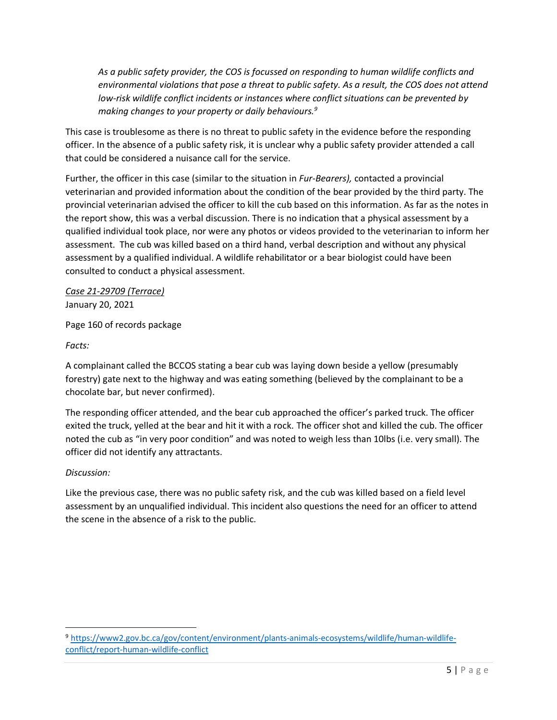*As a public safety provider, the COS is focussed on responding to human wildlife conflicts and environmental violations that pose a threat to public safety. As a result, the COS does not attend low-risk wildlife conflict incidents or instances where conflict situations can be prevented by making changes to your property or daily behaviours.<sup>9</sup>*

This case is troublesome as there is no threat to public safety in the evidence before the responding officer. In the absence of a public safety risk, it is unclear why a public safety provider attended a call that could be considered a nuisance call for the service.

Further, the officer in this case (similar to the situation in *Fur-Bearers),* contacted a provincial veterinarian and provided information about the condition of the bear provided by the third party. The provincial veterinarian advised the officer to kill the cub based on this information. As far as the notes in the report show, this was a verbal discussion. There is no indication that a physical assessment by a qualified individual took place, nor were any photos or videos provided to the veterinarian to inform her assessment. The cub was killed based on a third hand, verbal description and without any physical assessment by a qualified individual. A wildlife rehabilitator or a bear biologist could have been consulted to conduct a physical assessment.

*Case 21-29709 (Terrace)* January 20, 2021

Page 160 of records package

*Facts:*

A complainant called the BCCOS stating a bear cub was laying down beside a yellow (presumably forestry) gate next to the highway and was eating something (believed by the complainant to be a chocolate bar, but never confirmed).

The responding officer attended, and the bear cub approached the officer's parked truck. The officer exited the truck, yelled at the bear and hit it with a rock. The officer shot and killed the cub. The officer noted the cub as "in very poor condition" and was noted to weigh less than 10lbs (i.e. very small). The officer did not identify any attractants.

# *Discussion:*

Like the previous case, there was no public safety risk, and the cub was killed based on a field level assessment by an unqualified individual. This incident also questions the need for an officer to attend the scene in the absence of a risk to the public.

<sup>9</sup> [https://www2.gov.bc.ca/gov/content/environment/plants-animals-ecosystems/wildlife/human-wildlife](https://www2.gov.bc.ca/gov/content/environment/plants-animals-ecosystems/wildlife/human-wildlife-conflict/report-human-wildlife-conflict)[conflict/report-human-wildlife-conflict](https://www2.gov.bc.ca/gov/content/environment/plants-animals-ecosystems/wildlife/human-wildlife-conflict/report-human-wildlife-conflict)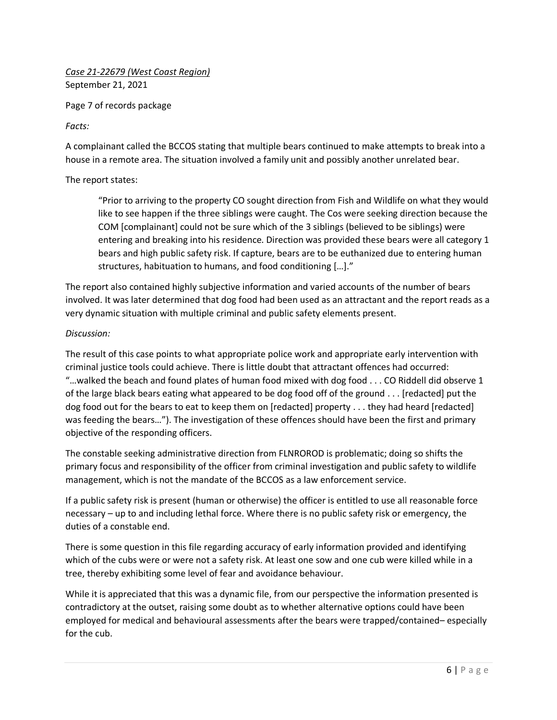*Case 21-22679 (West Coast Region)* September 21, 2021

Page 7 of records package

### *Facts:*

A complainant called the BCCOS stating that multiple bears continued to make attempts to break into a house in a remote area. The situation involved a family unit and possibly another unrelated bear.

#### The report states:

"Prior to arriving to the property CO sought direction from Fish and Wildlife on what they would like to see happen if the three siblings were caught. The Cos were seeking direction because the COM [complainant] could not be sure which of the 3 siblings (believed to be siblings) were entering and breaking into his residence. Direction was provided these bears were all category 1 bears and high public safety risk. If capture, bears are to be euthanized due to entering human structures, habituation to humans, and food conditioning […]."

The report also contained highly subjective information and varied accounts of the number of bears involved. It was later determined that dog food had been used as an attractant and the report reads as a very dynamic situation with multiple criminal and public safety elements present.

#### *Discussion:*

The result of this case points to what appropriate police work and appropriate early intervention with criminal justice tools could achieve. There is little doubt that attractant offences had occurred: "…walked the beach and found plates of human food mixed with dog food . . . CO Riddell did observe 1 of the large black bears eating what appeared to be dog food off of the ground . . . [redacted] put the dog food out for the bears to eat to keep them on [redacted] property . . . they had heard [redacted] was feeding the bears…"). The investigation of these offences should have been the first and primary objective of the responding officers.

The constable seeking administrative direction from FLNROROD is problematic; doing so shifts the primary focus and responsibility of the officer from criminal investigation and public safety to wildlife management, which is not the mandate of the BCCOS as a law enforcement service.

If a public safety risk is present (human or otherwise) the officer is entitled to use all reasonable force necessary – up to and including lethal force. Where there is no public safety risk or emergency, the duties of a constable end.

There is some question in this file regarding accuracy of early information provided and identifying which of the cubs were or were not a safety risk. At least one sow and one cub were killed while in a tree, thereby exhibiting some level of fear and avoidance behaviour.

While it is appreciated that this was a dynamic file, from our perspective the information presented is contradictory at the outset, raising some doubt as to whether alternative options could have been employed for medical and behavioural assessments after the bears were trapped/contained– especially for the cub.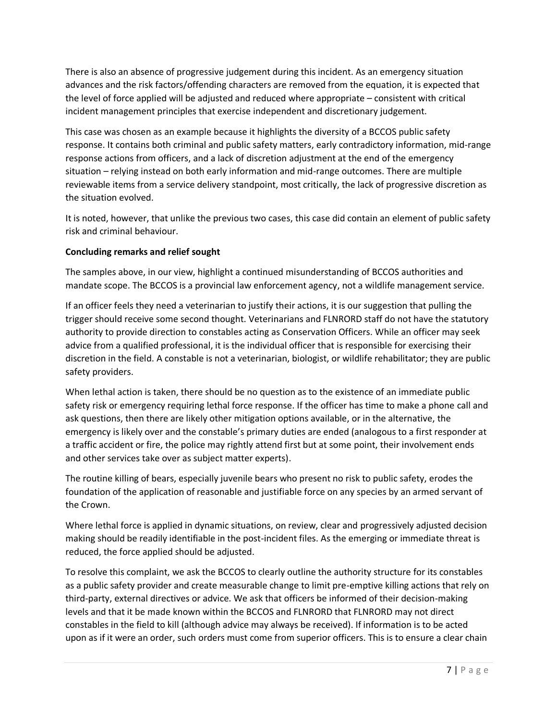There is also an absence of progressive judgement during this incident. As an emergency situation advances and the risk factors/offending characters are removed from the equation, it is expected that the level of force applied will be adjusted and reduced where appropriate – consistent with critical incident management principles that exercise independent and discretionary judgement.

This case was chosen as an example because it highlights the diversity of a BCCOS public safety response. It contains both criminal and public safety matters, early contradictory information, mid-range response actions from officers, and a lack of discretion adjustment at the end of the emergency situation – relying instead on both early information and mid-range outcomes. There are multiple reviewable items from a service delivery standpoint, most critically, the lack of progressive discretion as the situation evolved.

It is noted, however, that unlike the previous two cases, this case did contain an element of public safety risk and criminal behaviour.

# **Concluding remarks and relief sought**

The samples above, in our view, highlight a continued misunderstanding of BCCOS authorities and mandate scope. The BCCOS is a provincial law enforcement agency, not a wildlife management service.

If an officer feels they need a veterinarian to justify their actions, it is our suggestion that pulling the trigger should receive some second thought. Veterinarians and FLNRORD staff do not have the statutory authority to provide direction to constables acting as Conservation Officers. While an officer may seek advice from a qualified professional, it is the individual officer that is responsible for exercising their discretion in the field. A constable is not a veterinarian, biologist, or wildlife rehabilitator; they are public safety providers.

When lethal action is taken, there should be no question as to the existence of an immediate public safety risk or emergency requiring lethal force response. If the officer has time to make a phone call and ask questions, then there are likely other mitigation options available, or in the alternative, the emergency is likely over and the constable's primary duties are ended (analogous to a first responder at a traffic accident or fire, the police may rightly attend first but at some point, their involvement ends and other services take over as subject matter experts).

The routine killing of bears, especially juvenile bears who present no risk to public safety, erodes the foundation of the application of reasonable and justifiable force on any species by an armed servant of the Crown.

Where lethal force is applied in dynamic situations, on review, clear and progressively adjusted decision making should be readily identifiable in the post-incident files. As the emerging or immediate threat is reduced, the force applied should be adjusted.

To resolve this complaint, we ask the BCCOS to clearly outline the authority structure for its constables as a public safety provider and create measurable change to limit pre-emptive killing actions that rely on third-party, external directives or advice. We ask that officers be informed of their decision-making levels and that it be made known within the BCCOS and FLNRORD that FLNRORD may not direct constables in the field to kill (although advice may always be received). If information is to be acted upon as if it were an order, such orders must come from superior officers. This is to ensure a clear chain